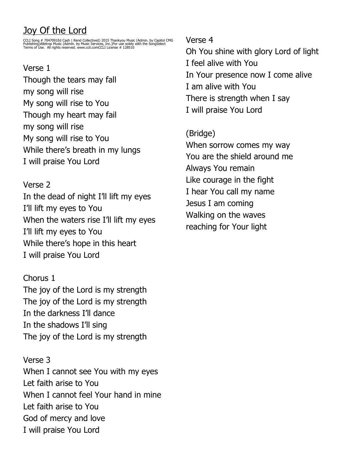# Joy Of the Lord

CCLI Song # 7047091Ed Cash | Rend Collective© 2015 Thankyou Music (Admin. by Capitol CMG<br>Publishing)Alletrop Music (Admin. by Music Services, Inc.)For use solely with the SongSelect<br>Terms of Use. All rights reserved. www

## Verse 1

Though the tears may fall my song will rise My song will rise to You Though my heart may fail my song will rise My song will rise to You While there's breath in my lungs I will praise You Lord

### Verse 2

In the dead of night I'll lift my eyes I'll lift my eyes to You When the waters rise I'll lift my eyes I'll lift my eyes to You While there's hope in this heart I will praise You Lord

Chorus 1 The joy of the Lord is my strength The joy of the Lord is my strength In the darkness I'll dance In the shadows I'll sing The joy of the Lord is my strength

Verse 3 When I cannot see You with my eyes Let faith arise to You When I cannot feel Your hand in mine Let faith arise to You God of mercy and love I will praise You Lord

### Verse 4

Oh You shine with glory Lord of light I feel alive with You In Your presence now I come alive I am alive with You There is strength when I say I will praise You Lord

## (Bridge)

When sorrow comes my way You are the shield around me Always You remain Like courage in the fight I hear You call my name Jesus I am coming Walking on the waves reaching for Your light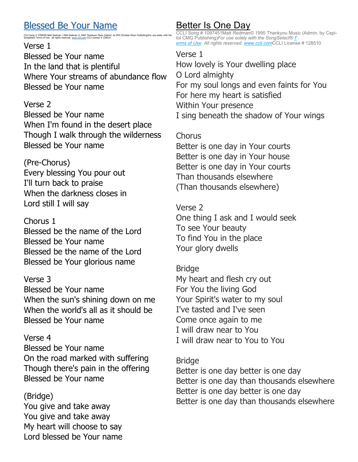## Blessed Be Your Name

#### CCLI Song # 3798438 Beth Redman | Matt Redman © 2002 Thankyou Music (Admin. by EMI Christian Music Publishing)For use solely with the<br>SongSelect Terms of Use. All rights reserved. [www.ccli.com](http://www.ccli.com/) CCLI License # 128510

#### Verse 1

Blessed be Your name In the land that is plentiful Where Your streams of abundance flow Blessed be Your name

#### Verse 2

Blessed be Your name When I'm found in the desert place Though I walk through the wilderness Blessed be Your name

### (Pre-Chorus)

Every blessing You pour out I'll turn back to praise When the darkness closes in Lord still I will say

### Chorus 1

Blessed be the name of the Lord Blessed be Your name Blessed be the name of the Lord Blessed be Your glorious name

### Verse 3

Blessed be Your name When the sun's shining down on me When the world's all as it should be Blessed be Your name

#### Verse 4

Blessed be Your name On the road marked with suffering Though there's pain in the offering Blessed be Your name

### (Bridge)

You give and take away You give and take away My heart will choose to say Lord blessed be Your name

### Better Is One Day

CCLI Song # 1097451Matt Redman© 1995 Thankyou Music (Admin. by Capitol CMG Publishing)*For use solely with the SongSelect® [T](https://songselect.ccli.com/about/termsofuse) [erms of Use.](https://songselect.ccli.com/about/termsofuse) All rights reserved. [www.ccli.com](http://www.ccli.com/)*CCLI License # 128510

#### Verse 1

How lovely is Your dwelling place O Lord almighty For my soul longs and even faints for You For here my heart is satisfied Within Your presence I sing beneath the shadow of Your wings

### **Chorus**

Better is one day in Your courts Better is one day in Your house Better is one day in Your courts Than thousands elsewhere (Than thousands elsewhere)

### Verse 2

One thing I ask and I would seek To see Your beauty To find You in the place Your glory dwells

#### Bridge

My heart and flesh cry out For You the living God Your Spirit's water to my soul I've tasted and I've seen Come once again to me I will draw near to You I will draw near to You to You

#### Bridge

Better is one day better is one day Better is one day than thousands elsewhere Better is one day better is one day Better is one day than thousands elsewhere